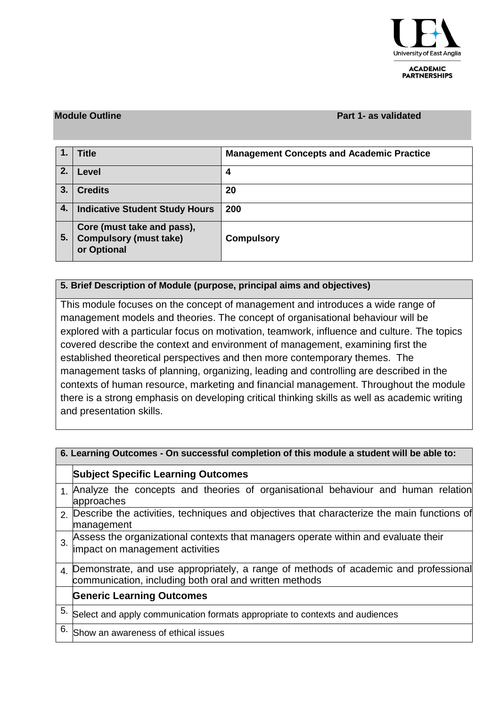

**ACADEMIC PARTNERSHIPS** 

#### **Module Outline Part 1- as validated**

|    | <b>Title</b>                                                               | <b>Management Concepts and Academic Practice</b> |
|----|----------------------------------------------------------------------------|--------------------------------------------------|
| 2. | Level                                                                      | 4                                                |
| 3. | <b>Credits</b>                                                             | 20                                               |
| 4. | <b>Indicative Student Study Hours</b>                                      | 200                                              |
| 5. | Core (must take and pass),<br><b>Compulsory (must take)</b><br>or Optional | <b>Compulsory</b>                                |

### **5. Brief Description of Module (purpose, principal aims and objectives)**

This module focuses on the concept of management and introduces a wide range of management models and theories. The concept of organisational behaviour will be explored with a particular focus on motivation, teamwork, influence and culture. The topics covered describe the context and environment of management, examining first the established theoretical perspectives and then more contemporary themes. The management tasks of planning, organizing, leading and controlling are described in the contexts of human resource, marketing and financial management. Throughout the module there is a strong emphasis on developing critical thinking skills as well as academic writing and presentation skills.

| 6. Learning Outcomes - On successful completion of this module a student will be able to: |                                                                                                                                                  |  |  |  |  |  |  |  |
|-------------------------------------------------------------------------------------------|--------------------------------------------------------------------------------------------------------------------------------------------------|--|--|--|--|--|--|--|
|                                                                                           | <b>Subject Specific Learning Outcomes</b>                                                                                                        |  |  |  |  |  |  |  |
|                                                                                           | 1. Analyze the concepts and theories of organisational behaviour and human relation<br>approaches                                                |  |  |  |  |  |  |  |
| 2.                                                                                        | Describe the activities, techniques and objectives that characterize the main functions of<br>management                                         |  |  |  |  |  |  |  |
| 3                                                                                         | Assess the organizational contexts that managers operate within and evaluate their<br>impact on management activities                            |  |  |  |  |  |  |  |
|                                                                                           | 4. Demonstrate, and use appropriately, a range of methods of academic and professional<br>communication, including both oral and written methods |  |  |  |  |  |  |  |
|                                                                                           | <b>Generic Learning Outcomes</b>                                                                                                                 |  |  |  |  |  |  |  |
| 5.                                                                                        | Select and apply communication formats appropriate to contexts and audiences                                                                     |  |  |  |  |  |  |  |
| 6.                                                                                        | Show an awareness of ethical issues                                                                                                              |  |  |  |  |  |  |  |